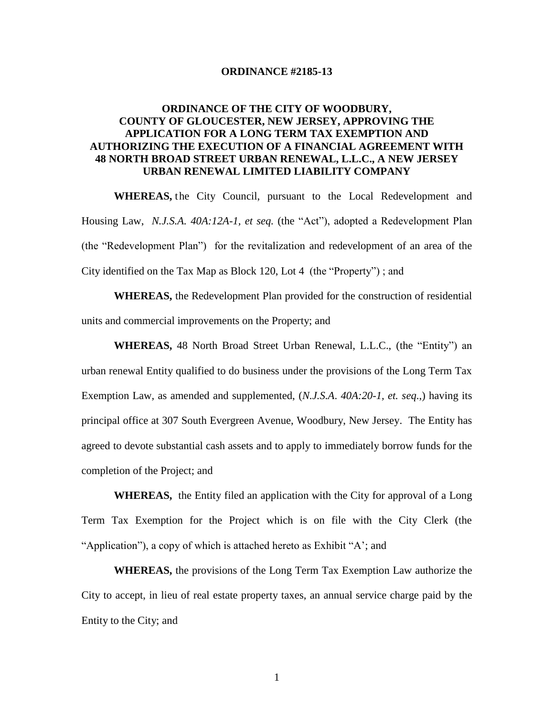#### **ORDINANCE #2185-13**

# **ORDINANCE OF THE CITY OF WOODBURY, COUNTY OF GLOUCESTER, NEW JERSEY, APPROVING THE APPLICATION FOR A LONG TERM TAX EXEMPTION AND AUTHORIZING THE EXECUTION OF A FINANCIAL AGREEMENT WITH 48 NORTH BROAD STREET URBAN RENEWAL, L.L.C., A NEW JERSEY URBAN RENEWAL LIMITED LIABILITY COMPANY**

**WHEREAS,** the City Council, pursuant to the Local Redevelopment and Housing Law, *N.J.S.A. 40A:12A-1, et seq.* (the "Act"), adopted a Redevelopment Plan (the "Redevelopment Plan") for the revitalization and redevelopment of an area of the City identified on the Tax Map as Block 120, Lot 4 (the "Property") ; and

**WHEREAS,** the Redevelopment Plan provided for the construction of residential units and commercial improvements on the Property; and

**WHEREAS,** 48 North Broad Street Urban Renewal, L.L.C., (the "Entity") an urban renewal Entity qualified to do business under the provisions of the Long Term Tax Exemption Law, as amended and supplemented, (*N.J.S.A*. *40A:20*-*1, et. seq*.,) having its principal office at 307 South Evergreen Avenue, Woodbury, New Jersey. The Entity has agreed to devote substantial cash assets and to apply to immediately borrow funds for the completion of the Project; and

 **WHEREAS,** the Entity filed an application with the City for approval of a Long Term Tax Exemption for the Project which is on file with the City Clerk (the "Application"), a copy of which is attached hereto as Exhibit "A'; and

**WHEREAS,** the provisions of the Long Term Tax Exemption Law authorize the City to accept, in lieu of real estate property taxes, an annual service charge paid by the Entity to the City; and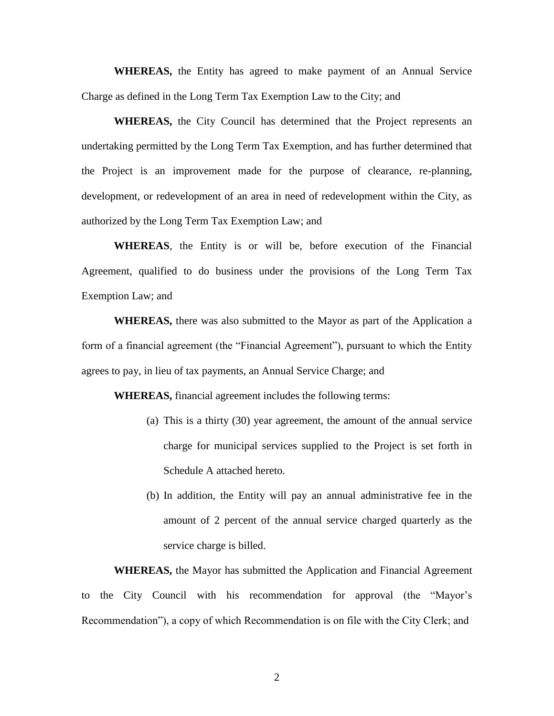**WHEREAS,** the Entity has agreed to make payment of an Annual Service Charge as defined in the Long Term Tax Exemption Law to the City; and

**WHEREAS,** the City Council has determined that the Project represents an undertaking permitted by the Long Term Tax Exemption, and has further determined that the Project is an improvement made for the purpose of clearance, re-planning, development, or redevelopment of an area in need of redevelopment within the City, as authorized by the Long Term Tax Exemption Law; and

**WHEREAS**, the Entity is or will be, before execution of the Financial Agreement, qualified to do business under the provisions of the Long Term Tax Exemption Law; and

**WHEREAS,** there was also submitted to the Mayor as part of the Application a form of a financial agreement (the "Financial Agreement"), pursuant to which the Entity agrees to pay, in lieu of tax payments, an Annual Service Charge; and

**WHEREAS,** financial agreement includes the following terms:

- (a) This is a thirty (30) year agreement, the amount of the annual service charge for municipal services supplied to the Project is set forth in Schedule A attached hereto.
- (b) In addition, the Entity will pay an annual administrative fee in the amount of 2 percent of the annual service charged quarterly as the service charge is billed.

**WHEREAS,** the Mayor has submitted the Application and Financial Agreement to the City Council with his recommendation for approval (the "Mayor's Recommendation"), a copy of which Recommendation is on file with the City Clerk; and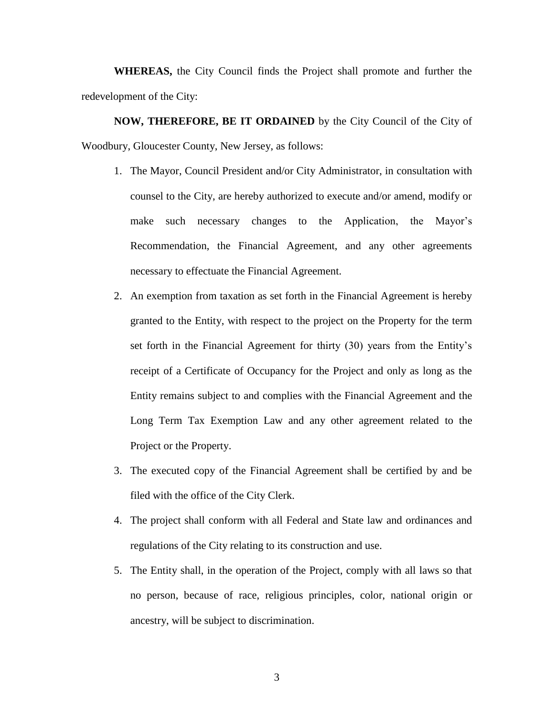**WHEREAS,** the City Council finds the Project shall promote and further the redevelopment of the City:

**NOW, THEREFORE, BE IT ORDAINED** by the City Council of the City of Woodbury, Gloucester County, New Jersey, as follows:

- 1. The Mayor, Council President and/or City Administrator, in consultation with counsel to the City, are hereby authorized to execute and/or amend, modify or make such necessary changes to the Application, the Mayor's Recommendation, the Financial Agreement, and any other agreements necessary to effectuate the Financial Agreement.
- 2. An exemption from taxation as set forth in the Financial Agreement is hereby granted to the Entity, with respect to the project on the Property for the term set forth in the Financial Agreement for thirty (30) years from the Entity's receipt of a Certificate of Occupancy for the Project and only as long as the Entity remains subject to and complies with the Financial Agreement and the Long Term Tax Exemption Law and any other agreement related to the Project or the Property.
- 3. The executed copy of the Financial Agreement shall be certified by and be filed with the office of the City Clerk.
- 4. The project shall conform with all Federal and State law and ordinances and regulations of the City relating to its construction and use.
- 5. The Entity shall, in the operation of the Project, comply with all laws so that no person, because of race, religious principles, color, national origin or ancestry, will be subject to discrimination.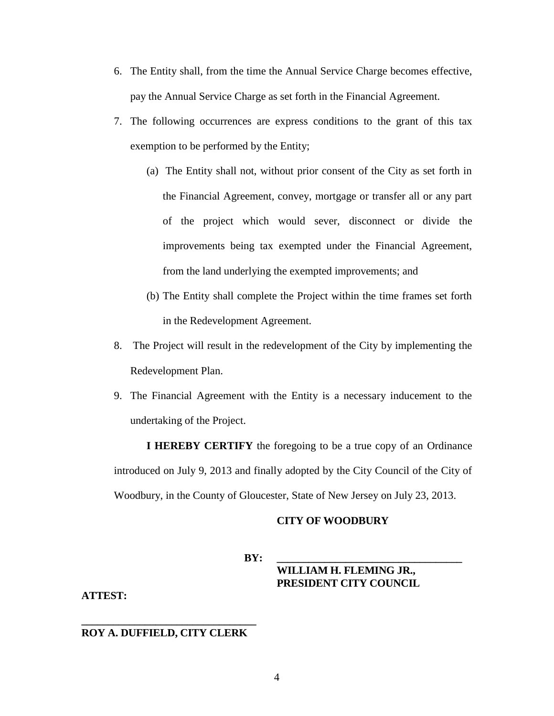- 6. The Entity shall, from the time the Annual Service Charge becomes effective, pay the Annual Service Charge as set forth in the Financial Agreement.
- 7. The following occurrences are express conditions to the grant of this tax exemption to be performed by the Entity;
	- (a) The Entity shall not, without prior consent of the City as set forth in the Financial Agreement, convey, mortgage or transfer all or any part of the project which would sever, disconnect or divide the improvements being tax exempted under the Financial Agreement, from the land underlying the exempted improvements; and
	- (b) The Entity shall complete the Project within the time frames set forth in the Redevelopment Agreement.
- 8. The Project will result in the redevelopment of the City by implementing the Redevelopment Plan.
- 9. The Financial Agreement with the Entity is a necessary inducement to the undertaking of the Project.

**I HEREBY CERTIFY** the foregoing to be a true copy of an Ordinance introduced on July 9, 2013 and finally adopted by the City Council of the City of Woodbury, in the County of Gloucester, State of New Jersey on July 23, 2013.

#### **CITY OF WOODBURY**

**BY: \_\_\_\_\_\_\_\_\_\_\_\_\_\_\_\_\_\_\_\_\_\_\_\_\_\_\_\_\_\_\_\_\_\_\_** 

## **WILLIAM H. FLEMING JR., PRESIDENT CITY COUNCIL**

**ATTEST:**

### **\_\_\_\_\_\_\_\_\_\_\_\_\_\_\_\_\_\_\_\_\_\_\_\_\_\_\_\_\_\_\_\_\_ ROY A. DUFFIELD, CITY CLERK**